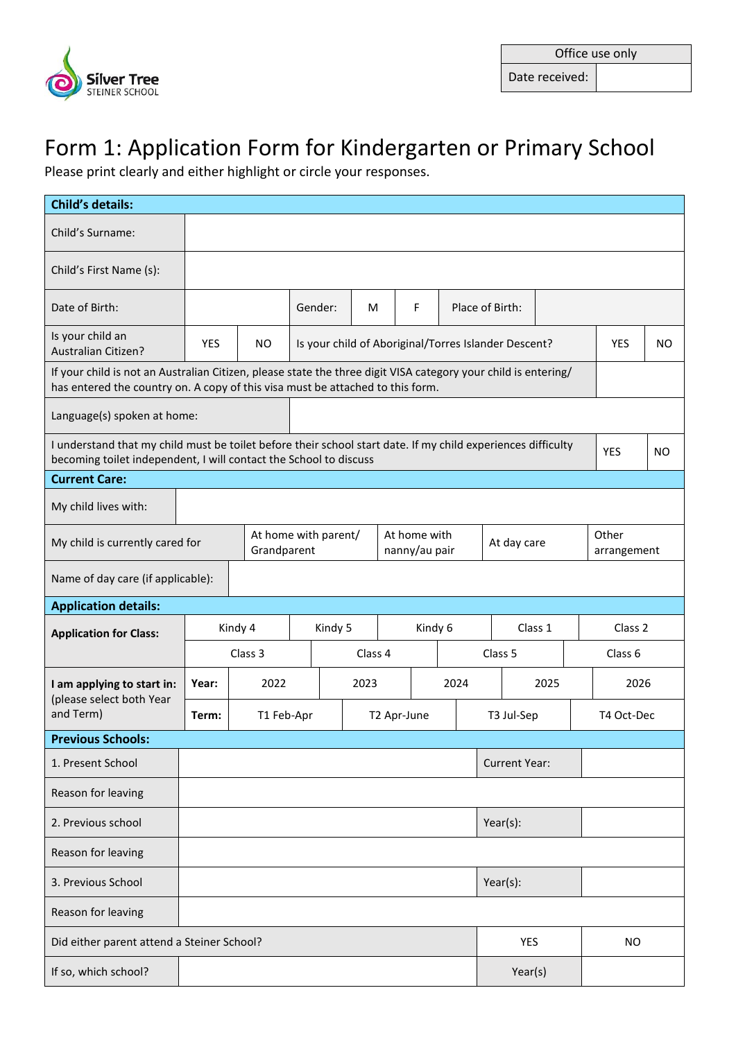

Date received:

## Form 1: Application Form for Kindergarten or Primary School

Please print clearly and either highlight or circle your responses.

| <b>Child's details:</b>                                                                                                                                                                          |                                                                                     |                                      |                                                      |  |         |            |                      |         |            |      |            |                |
|--------------------------------------------------------------------------------------------------------------------------------------------------------------------------------------------------|-------------------------------------------------------------------------------------|--------------------------------------|------------------------------------------------------|--|---------|------------|----------------------|---------|------------|------|------------|----------------|
| Child's Surname:                                                                                                                                                                                 |                                                                                     |                                      |                                                      |  |         |            |                      |         |            |      |            |                |
| Child's First Name (s):                                                                                                                                                                          |                                                                                     |                                      |                                                      |  |         |            |                      |         |            |      |            |                |
| Date of Birth:                                                                                                                                                                                   |                                                                                     | F<br>Place of Birth:<br>Gender:<br>м |                                                      |  |         |            |                      |         |            |      |            |                |
| Is your child an<br>Australian Citizen?                                                                                                                                                          | <b>YES</b>                                                                          | <b>NO</b>                            | Is your child of Aboriginal/Torres Islander Descent? |  |         |            |                      |         |            |      | <b>YES</b> | NO.            |
| If your child is not an Australian Citizen, please state the three digit VISA category your child is entering/<br>has entered the country on. A copy of this visa must be attached to this form. |                                                                                     |                                      |                                                      |  |         |            |                      |         |            |      |            |                |
| Language(s) spoken at home:                                                                                                                                                                      |                                                                                     |                                      |                                                      |  |         |            |                      |         |            |      |            |                |
| I understand that my child must be toilet before their school start date. If my child experiences difficulty<br>becoming toilet independent, I will contact the School to discuss                |                                                                                     |                                      |                                                      |  |         |            |                      |         |            |      | <b>YES</b> | N <sub>O</sub> |
| <b>Current Care:</b>                                                                                                                                                                             |                                                                                     |                                      |                                                      |  |         |            |                      |         |            |      |            |                |
| My child lives with:                                                                                                                                                                             |                                                                                     |                                      |                                                      |  |         |            |                      |         |            |      |            |                |
| My child is currently cared for                                                                                                                                                                  | At home with parent/<br>At home with<br>At day care<br>Grandparent<br>nanny/au pair |                                      |                                                      |  |         |            | Other<br>arrangement |         |            |      |            |                |
|                                                                                                                                                                                                  | Name of day care (if applicable):                                                   |                                      |                                                      |  |         |            |                      |         |            |      |            |                |
| <b>Application details:</b>                                                                                                                                                                      |                                                                                     |                                      |                                                      |  |         |            |                      |         |            |      |            |                |
| <b>Application for Class:</b>                                                                                                                                                                    | Kindy 4                                                                             | Kindy 5<br>Kindy 6                   |                                                      |  |         | Class 1    |                      |         | Class 2    |      |            |                |
|                                                                                                                                                                                                  |                                                                                     | Class 3                              |                                                      |  | Class 4 |            |                      | Class 5 |            |      | Class 6    |                |
| I am applying to start in:<br>(please select both Year                                                                                                                                           | Year:                                                                               | 2022                                 | 2023                                                 |  |         | 2024       |                      | 2025    |            | 2026 |            |                |
| and Term)                                                                                                                                                                                        | Term:                                                                               | T1 Feb-Apr<br>T2 Apr-June            |                                                      |  |         | T3 Jul-Sep |                      |         | T4 Oct-Dec |      |            |                |
| <b>Previous Schools:</b>                                                                                                                                                                         |                                                                                     |                                      |                                                      |  |         |            |                      |         |            |      |            |                |
| 1. Present School                                                                                                                                                                                | <b>Current Year:</b>                                                                |                                      |                                                      |  |         |            |                      |         |            |      |            |                |
| Reason for leaving                                                                                                                                                                               |                                                                                     |                                      |                                                      |  |         |            |                      |         |            |      |            |                |
| 2. Previous school                                                                                                                                                                               | $Year(s)$ :                                                                         |                                      |                                                      |  |         |            |                      |         |            |      |            |                |
| Reason for leaving                                                                                                                                                                               |                                                                                     |                                      |                                                      |  |         |            |                      |         |            |      |            |                |
| 3. Previous School                                                                                                                                                                               | $Year(s)$ :                                                                         |                                      |                                                      |  |         |            |                      |         |            |      |            |                |
| Reason for leaving                                                                                                                                                                               |                                                                                     |                                      |                                                      |  |         |            |                      |         |            |      |            |                |
| Did either parent attend a Steiner School?<br>YES<br><b>NO</b>                                                                                                                                   |                                                                                     |                                      |                                                      |  |         |            |                      |         |            |      |            |                |
| If so, which school?                                                                                                                                                                             | Year(s)                                                                             |                                      |                                                      |  |         |            |                      |         |            |      |            |                |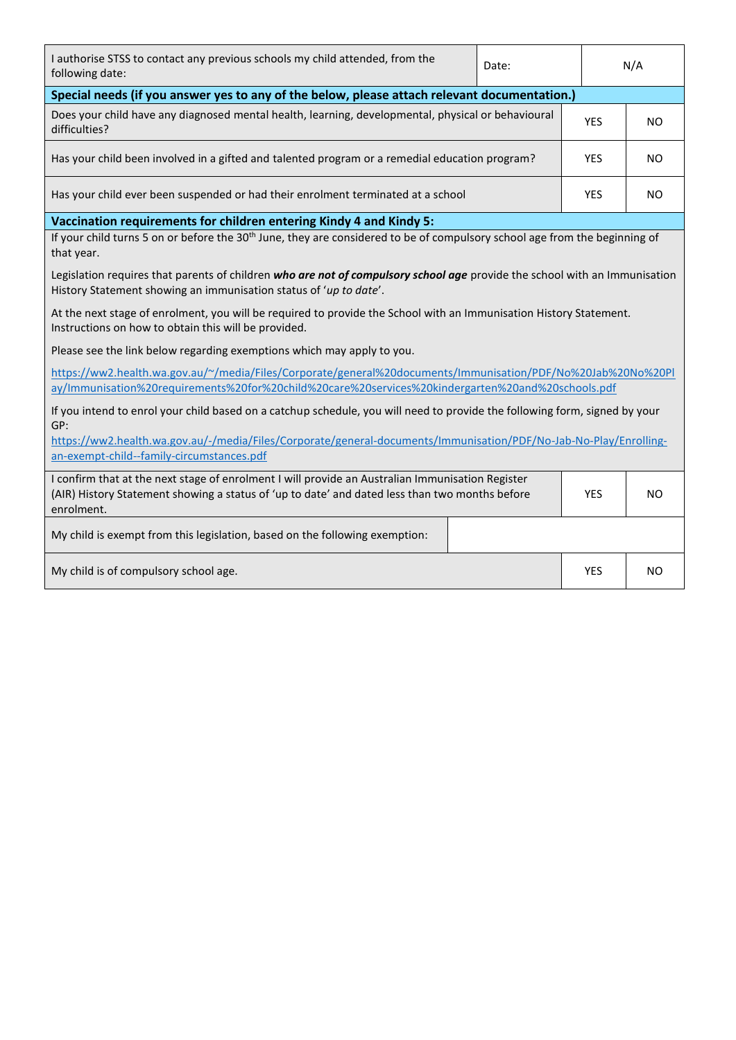| I authorise STSS to contact any previous schools my child attended, from the<br>following date:                                                                                                                                | Date:      |                   | N/A |  |  |  |  |
|--------------------------------------------------------------------------------------------------------------------------------------------------------------------------------------------------------------------------------|------------|-------------------|-----|--|--|--|--|
| Special needs (if you answer yes to any of the below, please attach relevant documentation.)                                                                                                                                   |            |                   |     |  |  |  |  |
| Does your child have any diagnosed mental health, learning, developmental, physical or behavioural<br>difficulties?                                                                                                            | <b>YES</b> | NO.               |     |  |  |  |  |
| Has your child been involved in a gifted and talented program or a remedial education program?                                                                                                                                 |            | YES               | NO. |  |  |  |  |
| Has your child ever been suspended or had their enrolment terminated at a school                                                                                                                                               |            | <b>YES</b><br>NO. |     |  |  |  |  |
| Vaccination requirements for children entering Kindy 4 and Kindy 5:                                                                                                                                                            |            |                   |     |  |  |  |  |
| If your child turns 5 on or before the 30 <sup>th</sup> June, they are considered to be of compulsory school age from the beginning of<br>that year.                                                                           |            |                   |     |  |  |  |  |
| Legislation requires that parents of children who are not of compulsory school age provide the school with an Immunisation<br>History Statement showing an immunisation status of 'up to date'.                                |            |                   |     |  |  |  |  |
| At the next stage of enrolment, you will be required to provide the School with an Immunisation History Statement.<br>Instructions on how to obtain this will be provided.                                                     |            |                   |     |  |  |  |  |
| Please see the link below regarding exemptions which may apply to you.                                                                                                                                                         |            |                   |     |  |  |  |  |
| https://ww2.health.wa.gov.au/~/media/Files/Corporate/general%20documents/Immunisation/PDF/No%20Jab%20No%20Pl<br>ay/Immunisation%20requirements%20for%20child%20care%20services%20kindergarten%20and%20schools.pdf              |            |                   |     |  |  |  |  |
| If you intend to enrol your child based on a catchup schedule, you will need to provide the following form, signed by your<br>GP:                                                                                              |            |                   |     |  |  |  |  |
| https://ww2.health.wa.gov.au/-/media/Files/Corporate/general-documents/Immunisation/PDF/No-Jab-No-Play/Enrolling-<br>an-exempt-child--family-circumstances.pdf                                                                 |            |                   |     |  |  |  |  |
| I confirm that at the next stage of enrolment I will provide an Australian Immunisation Register<br>(AIR) History Statement showing a status of 'up to date' and dated less than two months before<br><b>YES</b><br>enrolment. |            |                   |     |  |  |  |  |
| My child is exempt from this legislation, based on the following exemption:                                                                                                                                                    |            |                   |     |  |  |  |  |
| My child is of compulsory school age.<br>YES                                                                                                                                                                                   |            |                   |     |  |  |  |  |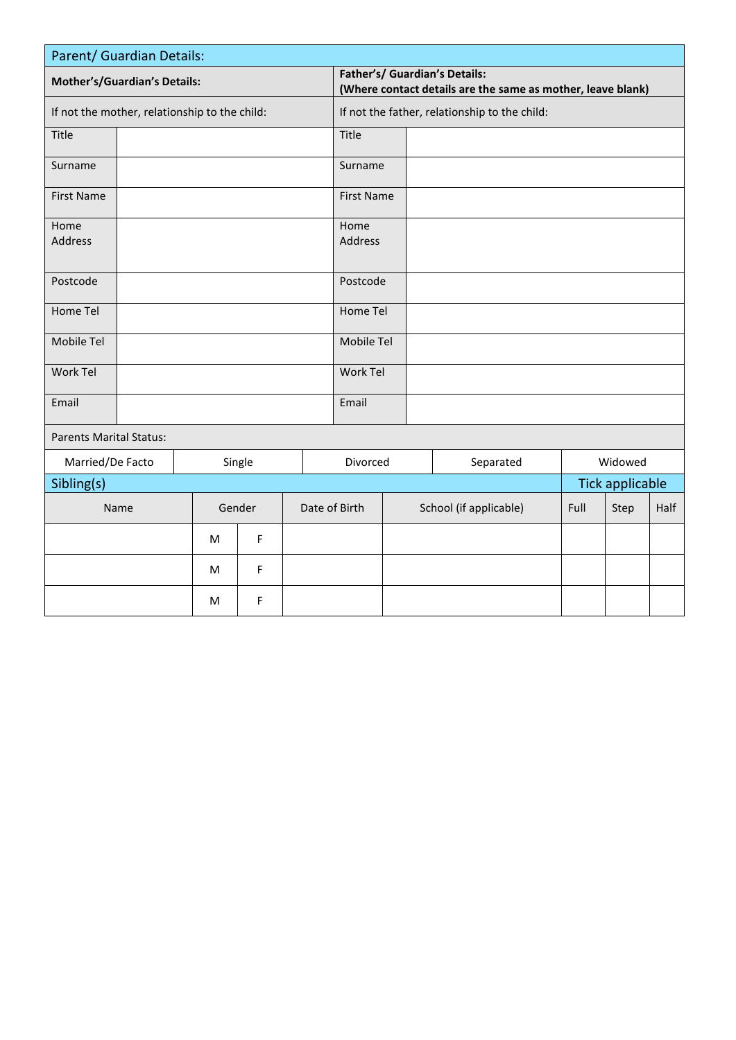| Parent/ Guardian Details:                     |                            |   |                                               |                                                                                              |                   |  |         |                        |      |                        |      |
|-----------------------------------------------|----------------------------|---|-----------------------------------------------|----------------------------------------------------------------------------------------------|-------------------|--|---------|------------------------|------|------------------------|------|
| <b>Mother's/Guardian's Details:</b>           |                            |   |                                               | Father's/ Guardian's Details:<br>(Where contact details are the same as mother, leave blank) |                   |  |         |                        |      |                        |      |
| If not the mother, relationship to the child: |                            |   | If not the father, relationship to the child: |                                                                                              |                   |  |         |                        |      |                        |      |
| Title                                         |                            |   |                                               | Title                                                                                        |                   |  |         |                        |      |                        |      |
| Surname                                       |                            |   |                                               | Surname                                                                                      |                   |  |         |                        |      |                        |      |
| <b>First Name</b>                             |                            |   |                                               |                                                                                              | <b>First Name</b> |  |         |                        |      |                        |      |
| Home                                          |                            |   |                                               |                                                                                              | Home              |  |         |                        |      |                        |      |
| <b>Address</b>                                |                            |   |                                               | Address                                                                                      |                   |  |         |                        |      |                        |      |
| Postcode                                      |                            |   |                                               |                                                                                              | Postcode          |  |         |                        |      |                        |      |
| Home Tel                                      |                            |   |                                               | Home Tel                                                                                     |                   |  |         |                        |      |                        |      |
| Mobile Tel                                    |                            |   |                                               | Mobile Tel                                                                                   |                   |  |         |                        |      |                        |      |
| Work Tel                                      |                            |   |                                               | Work Tel                                                                                     |                   |  |         |                        |      |                        |      |
| Email                                         |                            |   |                                               | Email                                                                                        |                   |  |         |                        |      |                        |      |
| <b>Parents Marital Status:</b>                |                            |   |                                               |                                                                                              |                   |  |         |                        |      |                        |      |
|                                               | Married/De Facto<br>Single |   |                                               | Separated<br>Divorced                                                                        |                   |  | Widowed |                        |      |                        |      |
| Sibling(s)                                    |                            |   |                                               |                                                                                              |                   |  |         |                        |      | <b>Tick applicable</b> |      |
|                                               | Name                       |   | Gender                                        |                                                                                              | Date of Birth     |  |         | School (if applicable) | Full | Step                   | Half |
|                                               |                            | M | F                                             |                                                                                              |                   |  |         |                        |      |                        |      |
|                                               |                            | M | F                                             |                                                                                              |                   |  |         |                        |      |                        |      |
|                                               |                            | М | F                                             |                                                                                              |                   |  |         |                        |      |                        |      |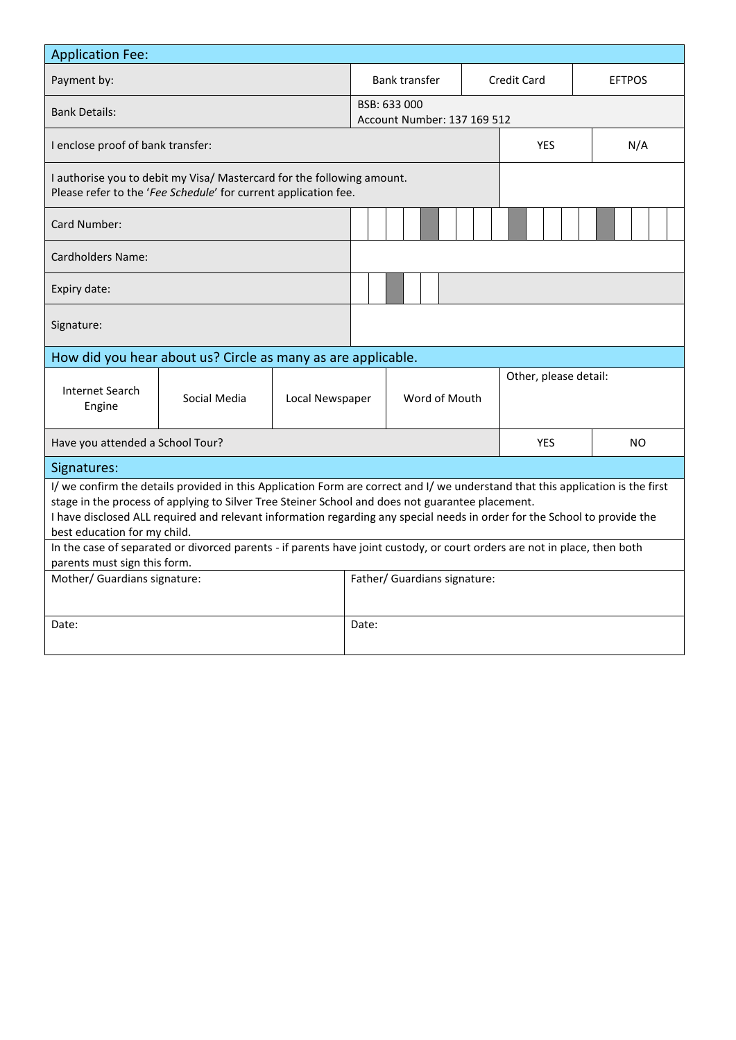| <b>Application Fee:</b>                                                                                                                                                                                                                                                                                                                                                                          |              |                              |               |                                                    |                       |                    |     |               |  |  |  |
|--------------------------------------------------------------------------------------------------------------------------------------------------------------------------------------------------------------------------------------------------------------------------------------------------------------------------------------------------------------------------------------------------|--------------|------------------------------|---------------|----------------------------------------------------|-----------------------|--------------------|-----|---------------|--|--|--|
| Payment by:                                                                                                                                                                                                                                                                                                                                                                                      |              |                              |               | <b>Bank transfer</b>                               |                       | <b>Credit Card</b> |     | <b>EFTPOS</b> |  |  |  |
| <b>Bank Details:</b>                                                                                                                                                                                                                                                                                                                                                                             |              |                              |               | BSB: 633 000<br><b>Account Number: 137 169 512</b> |                       |                    |     |               |  |  |  |
| I enclose proof of bank transfer:                                                                                                                                                                                                                                                                                                                                                                |              |                              |               |                                                    |                       | <b>YES</b>         | N/A |               |  |  |  |
| I authorise you to debit my Visa/ Mastercard for the following amount.<br>Please refer to the 'Fee Schedule' for current application fee.                                                                                                                                                                                                                                                        |              |                              |               |                                                    |                       |                    |     |               |  |  |  |
| Card Number:                                                                                                                                                                                                                                                                                                                                                                                     |              |                              |               |                                                    |                       |                    |     |               |  |  |  |
| <b>Cardholders Name:</b>                                                                                                                                                                                                                                                                                                                                                                         |              |                              |               |                                                    |                       |                    |     |               |  |  |  |
| Expiry date:                                                                                                                                                                                                                                                                                                                                                                                     |              |                              |               |                                                    |                       |                    |     |               |  |  |  |
| Signature:                                                                                                                                                                                                                                                                                                                                                                                       |              |                              |               |                                                    |                       |                    |     |               |  |  |  |
| How did you hear about us? Circle as many as are applicable.                                                                                                                                                                                                                                                                                                                                     |              |                              |               |                                                    |                       |                    |     |               |  |  |  |
| Internet Search<br>Engine                                                                                                                                                                                                                                                                                                                                                                        | Social Media | Local Newspaper              | Word of Mouth |                                                    | Other, please detail: |                    |     |               |  |  |  |
| Have you attended a School Tour?                                                                                                                                                                                                                                                                                                                                                                 |              |                              |               |                                                    |                       | <b>YES</b>         | NO. |               |  |  |  |
| Signatures:                                                                                                                                                                                                                                                                                                                                                                                      |              |                              |               |                                                    |                       |                    |     |               |  |  |  |
| I/ we confirm the details provided in this Application Form are correct and I/ we understand that this application is the first<br>stage in the process of applying to Silver Tree Steiner School and does not guarantee placement.<br>I have disclosed ALL required and relevant information regarding any special needs in order for the School to provide the<br>best education for my child. |              |                              |               |                                                    |                       |                    |     |               |  |  |  |
| In the case of separated or divorced parents - if parents have joint custody, or court orders are not in place, then both<br>parents must sign this form.                                                                                                                                                                                                                                        |              |                              |               |                                                    |                       |                    |     |               |  |  |  |
| Mother/ Guardians signature:                                                                                                                                                                                                                                                                                                                                                                     |              | Father/ Guardians signature: |               |                                                    |                       |                    |     |               |  |  |  |
|                                                                                                                                                                                                                                                                                                                                                                                                  |              |                              |               |                                                    |                       |                    |     |               |  |  |  |
| Date:                                                                                                                                                                                                                                                                                                                                                                                            |              |                              |               | Date:                                              |                       |                    |     |               |  |  |  |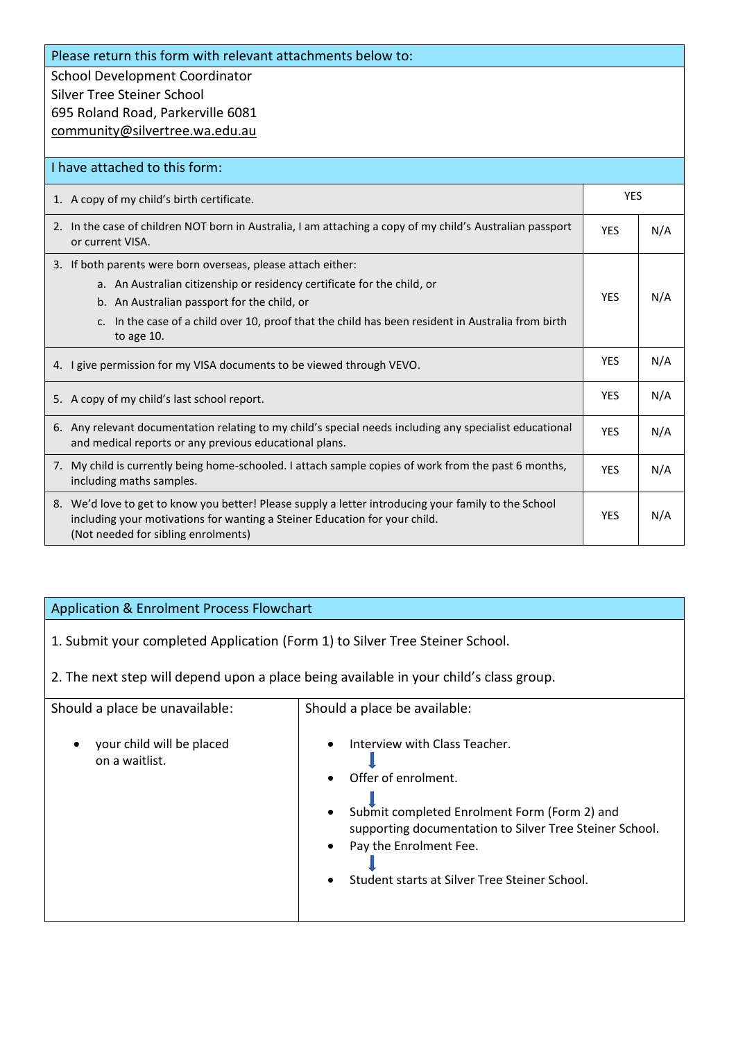Please return this form with relevant attachments below to:

School Development Coordinator Silver Tree Steiner School 695 Roland Road, Parkerville 6081 [community@silvertree.wa.edu.au](mailto:community@silvertree.wa.edu.au)

| I have attached to this form:                                                                                                                                                                                                                                                                                            |            |     |
|--------------------------------------------------------------------------------------------------------------------------------------------------------------------------------------------------------------------------------------------------------------------------------------------------------------------------|------------|-----|
| 1. A copy of my child's birth certificate.                                                                                                                                                                                                                                                                               | <b>YES</b> |     |
| 2. In the case of children NOT born in Australia, I am attaching a copy of my child's Australian passport<br>or current VISA.                                                                                                                                                                                            | <b>YES</b> | N/A |
| 3. If both parents were born overseas, please attach either:<br>a. An Australian citizenship or residency certificate for the child, or<br>b. An Australian passport for the child, or<br>In the case of a child over 10, proof that the child has been resident in Australia from birth<br>C <sub>1</sub><br>to age 10. | <b>YES</b> | N/A |
| 4. I give permission for my VISA documents to be viewed through VEVO.                                                                                                                                                                                                                                                    | <b>YES</b> | N/A |
| 5. A copy of my child's last school report.                                                                                                                                                                                                                                                                              | <b>YFS</b> | N/A |
| 6. Any relevant documentation relating to my child's special needs including any specialist educational<br>and medical reports or any previous educational plans.                                                                                                                                                        | <b>YFS</b> | N/A |
| 7. My child is currently being home-schooled. I attach sample copies of work from the past 6 months,<br>including maths samples.                                                                                                                                                                                         | <b>YFS</b> | N/A |
| 8. We'd love to get to know you better! Please supply a letter introducing your family to the School<br>including your motivations for wanting a Steiner Education for your child.<br>(Not needed for sibling enrolments)                                                                                                | <b>YES</b> | N/A |

## Application & Enrolment Process Flowchart

1. Submit your completed Application (Form 1) to Silver Tree Steiner School.

2. The next step will depend upon a place being available in your child's class group.

| Should a place be unavailable:              | Should a place be available:                                                                                                                                                                                                                                                                                |  |  |  |  |  |
|---------------------------------------------|-------------------------------------------------------------------------------------------------------------------------------------------------------------------------------------------------------------------------------------------------------------------------------------------------------------|--|--|--|--|--|
| your child will be placed<br>on a waitlist. | Interview with Class Teacher.<br>$\bullet$<br>Offer of enrolment.<br>$\bullet$<br>Submit completed Enrolment Form (Form 2) and<br>$\bullet$<br>supporting documentation to Silver Tree Steiner School.<br>Pay the Enrolment Fee.<br>$\bullet$<br>Student starts at Silver Tree Steiner School.<br>$\bullet$ |  |  |  |  |  |